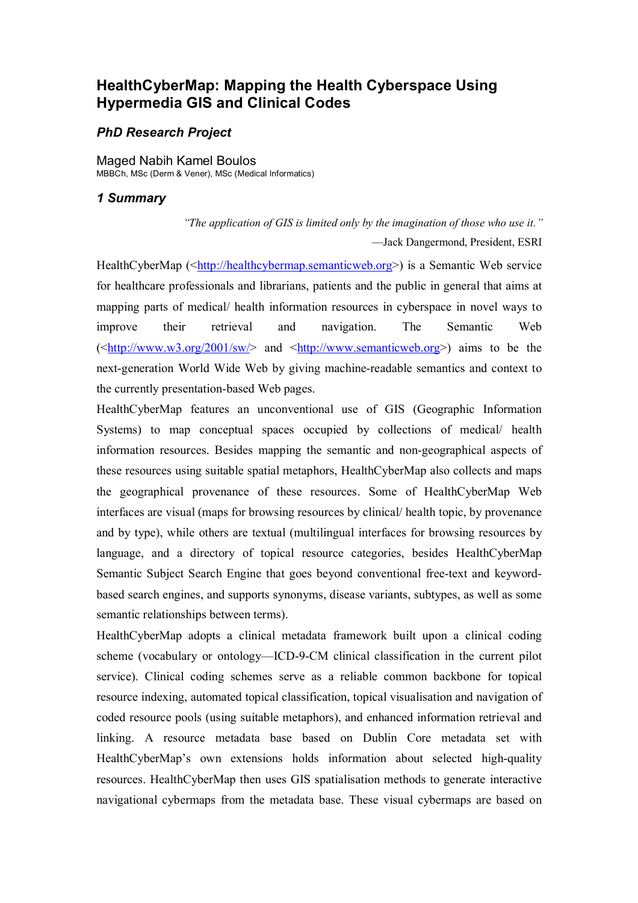# **HealthCyberMap: Mapping the Health Cyberspace Using Hypermedia GIS and Clinical Codes**

## *PhD Research Project*

Maged Nabih Kamel Boulos MBBCh, MSc (Derm & Vener), MSc (Medical Informatics)

#### *1 Summary*

*"The application of GIS is limited only by the imagination of those who use it."*  —Jack Dangermond, President, ESRI

HealthCyberMap (<http://healthcybermap.semanticweb.org>) is a Semantic Web service for healthcare professionals and librarians, patients and the public in general that aims at mapping parts of medical/ health information resources in cyberspace in novel ways to improve their retrieval and navigation. The Semantic Web  $(\text{1:1}, \text{1:1}, \text{1:1}, \text{1:1}, \text{1:1}, \text{1:1}, \text{1:1}, \text{1:1}, \text{1:1}, \text{1:1}, \text{1:1}, \text{1:1}, \text{1:1}, \text{1:1}, \text{1:1}, \text{1:1}, \text{1:1}, \text{1:1}, \text{1:1}, \text{1:1}, \text{1:1}, \text{1:1}, \text{1:1}, \text{1:1}, \text{1:1}, \text{1:1}, \text{1:1}, \text{1:1}, \text{1:1}, \text{1:1}, \text{1:1}, \text{$ next-generation World Wide Web by giving machine-readable semantics and context to the currently presentation-based Web pages.

HealthCyberMap features an unconventional use of GIS (Geographic Information Systems) to map conceptual spaces occupied by collections of medical/ health information resources. Besides mapping the semantic and non-geographical aspects of these resources using suitable spatial metaphors, HealthCyberMap also collects and maps the geographical provenance of these resources. Some of HealthCyberMap Web interfaces are visual (maps for browsing resources by clinical/ health topic, by provenance and by type), while others are textual (multilingual interfaces for browsing resources by language, and a directory of topical resource categories, besides HealthCyberMap Semantic Subject Search Engine that goes beyond conventional free-text and keywordbased search engines, and supports synonyms, disease variants, subtypes, as well as some semantic relationships between terms).

HealthCyberMap adopts a clinical metadata framework built upon a clinical coding scheme (vocabulary or ontology—ICD-9-CM clinical classification in the current pilot service). Clinical coding schemes serve as a reliable common backbone for topical resource indexing, automated topical classification, topical visualisation and navigation of coded resource pools (using suitable metaphors), and enhanced information retrieval and linking. A resource metadata base based on Dublin Core metadata set with HealthCyberMap's own extensions holds information about selected high-quality resources. HealthCyberMap then uses GIS spatialisation methods to generate interactive navigational cybermaps from the metadata base. These visual cybermaps are based on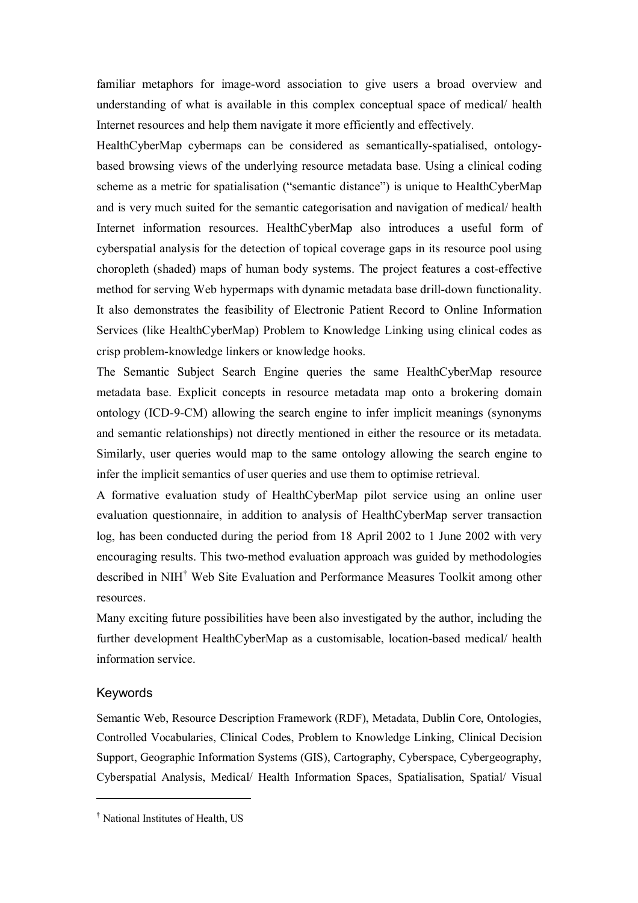familiar metaphors for image-word association to give users a broad overview and understanding of what is available in this complex conceptual space of medical/ health Internet resources and help them navigate it more efficiently and effectively.

HealthCyberMap cybermaps can be considered as semantically-spatialised, ontologybased browsing views of the underlying resource metadata base. Using a clinical coding scheme as a metric for spatialisation ("semantic distance") is unique to HealthCyberMap and is very much suited for the semantic categorisation and navigation of medical/ health Internet information resources. HealthCyberMap also introduces a useful form of cyberspatial analysis for the detection of topical coverage gaps in its resource pool using choropleth (shaded) maps of human body systems. The project features a cost-effective method for serving Web hypermaps with dynamic metadata base drill-down functionality. It also demonstrates the feasibility of Electronic Patient Record to Online Information Services (like HealthCyberMap) Problem to Knowledge Linking using clinical codes as crisp problem-knowledge linkers or knowledge hooks.

The Semantic Subject Search Engine queries the same HealthCyberMap resource metadata base. Explicit concepts in resource metadata map onto a brokering domain ontology (ICD-9-CM) allowing the search engine to infer implicit meanings (synonyms and semantic relationships) not directly mentioned in either the resource or its metadata. Similarly, user queries would map to the same ontology allowing the search engine to infer the implicit semantics of user queries and use them to optimise retrieval.

A formative evaluation study of HealthCyberMap pilot service using an online user evaluation questionnaire, in addition to analysis of HealthCyberMap server transaction log, has been conducted during the period from 18 April 2002 to 1 June 2002 with very encouraging results. This two-method evaluation approach was guided by methodologies described in NIH† Web Site Evaluation and Performance Measures Toolkit among other resources.

Many exciting future possibilities have been also investigated by the author, including the further development HealthCyberMap as a customisable, location-based medical/ health information service.

#### Keywords

 $\overline{a}$ 

Semantic Web, Resource Description Framework (RDF), Metadata, Dublin Core, Ontologies, Controlled Vocabularies, Clinical Codes, Problem to Knowledge Linking, Clinical Decision Support, Geographic Information Systems (GIS), Cartography, Cyberspace, Cybergeography, Cyberspatial Analysis, Medical/ Health Information Spaces, Spatialisation, Spatial/ Visual

<sup>†</sup> National Institutes of Health, US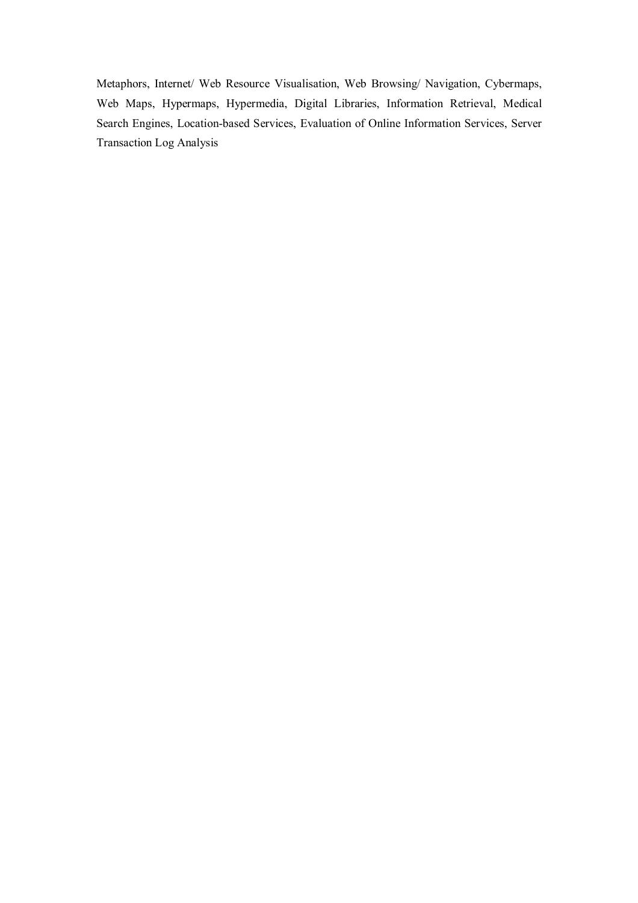Metaphors, Internet/ Web Resource Visualisation, Web Browsing/ Navigation, Cybermaps, Web Maps, Hypermaps, Hypermedia, Digital Libraries, Information Retrieval, Medical Search Engines, Location-based Services, Evaluation of Online Information Services, Server Transaction Log Analysis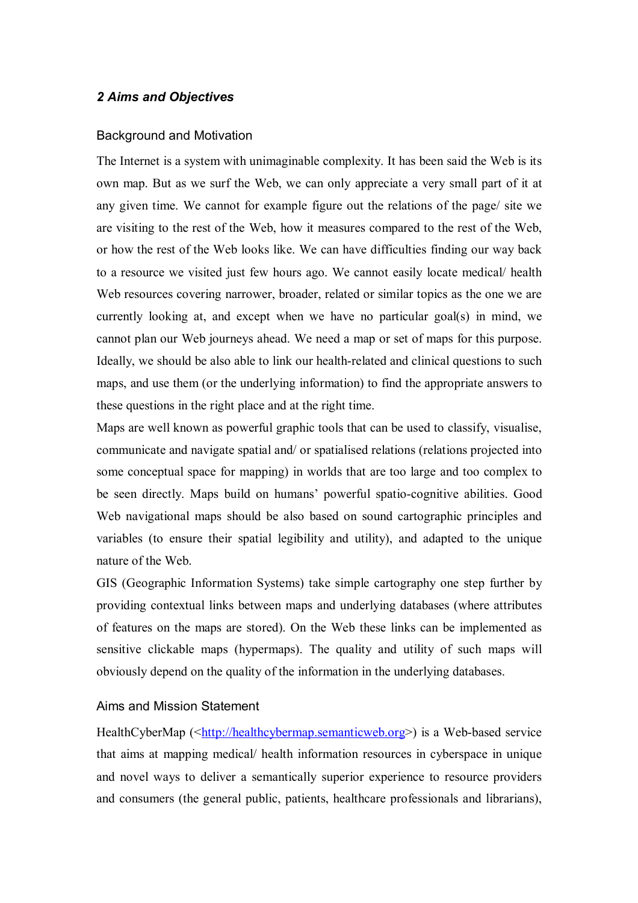## *2 Aims and Objectives*

#### Background and Motivation

The Internet is a system with unimaginable complexity. It has been said the Web is its own map. But as we surf the Web, we can only appreciate a very small part of it at any given time. We cannot for example figure out the relations of the page/ site we are visiting to the rest of the Web, how it measures compared to the rest of the Web, or how the rest of the Web looks like. We can have difficulties finding our way back to a resource we visited just few hours ago. We cannot easily locate medical/ health Web resources covering narrower, broader, related or similar topics as the one we are currently looking at, and except when we have no particular goal(s) in mind, we cannot plan our Web journeys ahead. We need a map or set of maps for this purpose. Ideally, we should be also able to link our health-related and clinical questions to such maps, and use them (or the underlying information) to find the appropriate answers to these questions in the right place and at the right time.

Maps are well known as powerful graphic tools that can be used to classify, visualise, communicate and navigate spatial and/ or spatialised relations (relations projected into some conceptual space for mapping) in worlds that are too large and too complex to be seen directly. Maps build on humans' powerful spatio-cognitive abilities. Good Web navigational maps should be also based on sound cartographic principles and variables (to ensure their spatial legibility and utility), and adapted to the unique nature of the Web.

GIS (Geographic Information Systems) take simple cartography one step further by providing contextual links between maps and underlying databases (where attributes of features on the maps are stored). On the Web these links can be implemented as sensitive clickable maps (hypermaps). The quality and utility of such maps will obviously depend on the quality of the information in the underlying databases.

## Aims and Mission Statement

HealthCyberMap (<http://healthcybermap.semanticweb.org>) is a Web-based service that aims at mapping medical/ health information resources in cyberspace in unique and novel ways to deliver a semantically superior experience to resource providers and consumers (the general public, patients, healthcare professionals and librarians),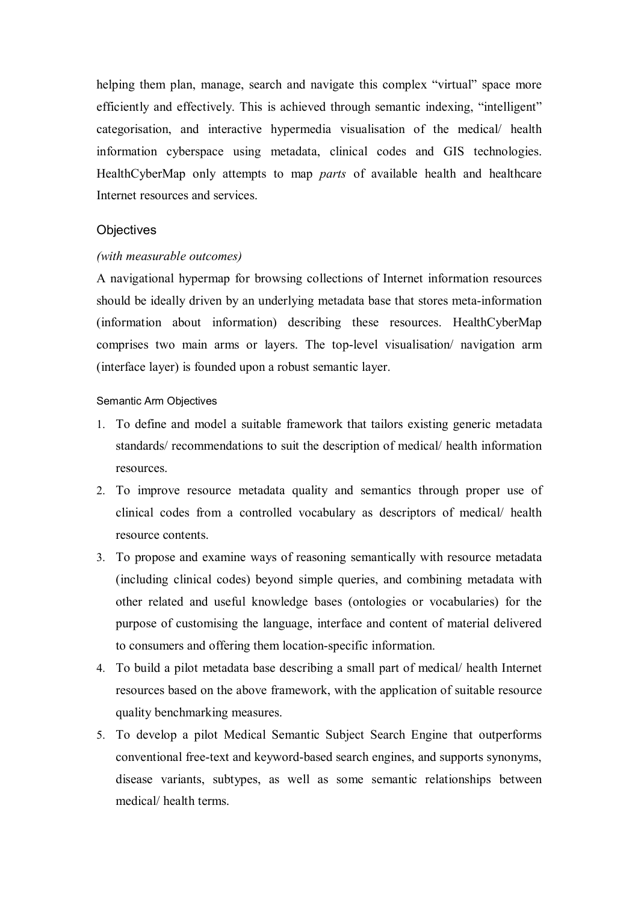helping them plan, manage, search and navigate this complex "virtual" space more efficiently and effectively. This is achieved through semantic indexing, "intelligent" categorisation, and interactive hypermedia visualisation of the medical/ health information cyberspace using metadata, clinical codes and GIS technologies. HealthCyberMap only attempts to map *parts* of available health and healthcare Internet resources and services.

## **Objectives**

## *(with measurable outcomes)*

A navigational hypermap for browsing collections of Internet information resources should be ideally driven by an underlying metadata base that stores meta-information (information about information) describing these resources. HealthCyberMap comprises two main arms or layers. The top-level visualisation/ navigation arm (interface layer) is founded upon a robust semantic layer.

### Semantic Arm Objectives

- 1. To define and model a suitable framework that tailors existing generic metadata standards/ recommendations to suit the description of medical/ health information resources.
- 2. To improve resource metadata quality and semantics through proper use of clinical codes from a controlled vocabulary as descriptors of medical/ health resource contents.
- 3. To propose and examine ways of reasoning semantically with resource metadata (including clinical codes) beyond simple queries, and combining metadata with other related and useful knowledge bases (ontologies or vocabularies) for the purpose of customising the language, interface and content of material delivered to consumers and offering them location-specific information.
- 4. To build a pilot metadata base describing a small part of medical/ health Internet resources based on the above framework, with the application of suitable resource quality benchmarking measures.
- 5. To develop a pilot Medical Semantic Subject Search Engine that outperforms conventional free-text and keyword-based search engines, and supports synonyms, disease variants, subtypes, as well as some semantic relationships between medical/ health terms.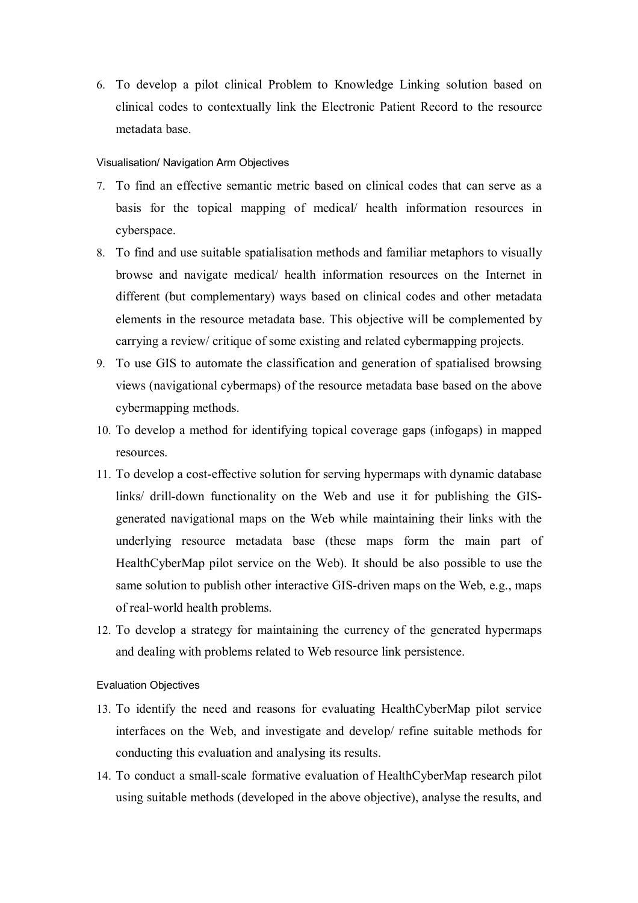6. To develop a pilot clinical Problem to Knowledge Linking solution based on clinical codes to contextually link the Electronic Patient Record to the resource metadata base.

### Visualisation/ Navigation Arm Objectives

- 7. To find an effective semantic metric based on clinical codes that can serve as a basis for the topical mapping of medical/ health information resources in cyberspace.
- 8. To find and use suitable spatialisation methods and familiar metaphors to visually browse and navigate medical/ health information resources on the Internet in different (but complementary) ways based on clinical codes and other metadata elements in the resource metadata base. This objective will be complemented by carrying a review/ critique of some existing and related cybermapping projects.
- 9. To use GIS to automate the classification and generation of spatialised browsing views (navigational cybermaps) of the resource metadata base based on the above cybermapping methods.
- 10. To develop a method for identifying topical coverage gaps (infogaps) in mapped resources.
- 11. To develop a cost-effective solution for serving hypermaps with dynamic database links/ drill-down functionality on the Web and use it for publishing the GISgenerated navigational maps on the Web while maintaining their links with the underlying resource metadata base (these maps form the main part of HealthCyberMap pilot service on the Web). It should be also possible to use the same solution to publish other interactive GIS-driven maps on the Web, e.g., maps of real-world health problems.
- 12. To develop a strategy for maintaining the currency of the generated hypermaps and dealing with problems related to Web resource link persistence.

#### Evaluation Objectives

- 13. To identify the need and reasons for evaluating HealthCyberMap pilot service interfaces on the Web, and investigate and develop/ refine suitable methods for conducting this evaluation and analysing its results.
- 14. To conduct a small-scale formative evaluation of HealthCyberMap research pilot using suitable methods (developed in the above objective), analyse the results, and